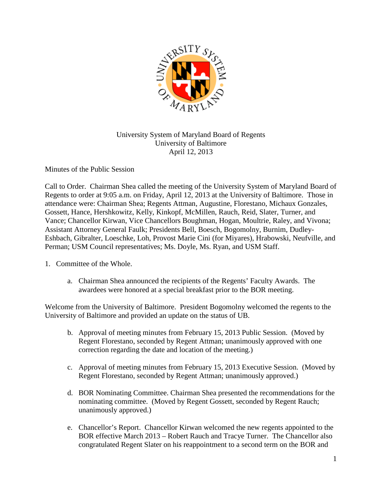

## University System of Maryland Board of Regents University of Baltimore April 12, 2013

Minutes of the Public Session

Call to Order. Chairman Shea called the meeting of the University System of Maryland Board of Regents to order at 9:05 a.m. on Friday, April 12, 2013 at the University of Baltimore. Those in attendance were: Chairman Shea; Regents Attman, Augustine, Florestano, Michaux Gonzales, Gossett, Hance, Hershkowitz, Kelly, Kinkopf, McMillen, Rauch, Reid, Slater, Turner, and Vance; Chancellor Kirwan, Vice Chancellors Boughman, Hogan, Moultrie, Raley, and Vivona; Assistant Attorney General Faulk; Presidents Bell, Boesch, Bogomolny, Burnim, Dudley-Eshbach, Gibralter, Loeschke, Loh, Provost Marie Cini (for Miyares), Hrabowski, Neufville, and Perman; USM Council representatives; Ms. Doyle, Ms. Ryan, and USM Staff.

- 1. Committee of the Whole.
	- a. Chairman Shea announced the recipients of the Regents' Faculty Awards. The awardees were honored at a special breakfast prior to the BOR meeting.

Welcome from the University of Baltimore. President Bogomolny welcomed the regents to the University of Baltimore and provided an update on the status of UB.

- b. Approval of meeting minutes from February 15, 2013 Public Session. (Moved by Regent Florestano, seconded by Regent Attman; unanimously approved with one correction regarding the date and location of the meeting.)
- c. Approval of meeting minutes from February 15, 2013 Executive Session. (Moved by Regent Florestano, seconded by Regent Attman; unanimously approved.)
- d. BOR Nominating Committee. Chairman Shea presented the recommendations for the nominating committee. (Moved by Regent Gossett, seconded by Regent Rauch; unanimously approved.)
- e. Chancellor's Report. Chancellor Kirwan welcomed the new regents appointed to the BOR effective March 2013 – Robert Rauch and Tracye Turner. The Chancellor also congratulated Regent Slater on his reappointment to a second term on the BOR and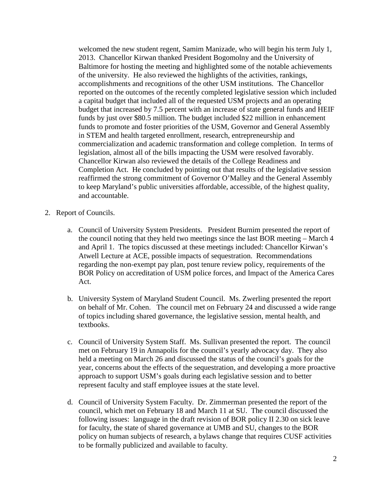welcomed the new student regent, Samim Manizade, who will begin his term July 1, 2013. Chancellor Kirwan thanked President Bogomolny and the University of Baltimore for hosting the meeting and highlighted some of the notable achievements of the university. He also reviewed the highlights of the activities, rankings, accomplishments and recognitions of the other USM institutions. The Chancellor reported on the outcomes of the recently completed legislative session which included a capital budget that included all of the requested USM projects and an operating budget that increased by 7.5 percent with an increase of state general funds and HEIF funds by just over \$80.5 million. The budget included \$22 million in enhancement funds to promote and foster priorities of the USM, Governor and General Assembly in STEM and health targeted enrollment, research, entrepreneurship and commercialization and academic transformation and college completion. In terms of legislation, almost all of the bills impacting the USM were resolved favorably. Chancellor Kirwan also reviewed the details of the College Readiness and Completion Act. He concluded by pointing out that results of the legislative session reaffirmed the strong commitment of Governor O'Malley and the General Assembly to keep Maryland's public universities affordable, accessible, of the highest quality, and accountable.

- 2. Report of Councils.
	- a. Council of University System Presidents. President Burnim presented the report of the council noting that they held two meetings since the last BOR meeting – March 4 and April 1. The topics discussed at these meetings included: Chancellor Kirwan's Atwell Lecture at ACE, possible impacts of sequestration. Recommendations regarding the non-exempt pay plan, post tenure review policy, requirements of the BOR Policy on accreditation of USM police forces, and Impact of the America Cares Act.
	- b. University System of Maryland Student Council. Ms. Zwerling presented the report on behalf of Mr. Cohen. The council met on February 24 and discussed a wide range of topics including shared governance, the legislative session, mental health, and textbooks.
	- c. Council of University System Staff. Ms. Sullivan presented the report. The council met on February 19 in Annapolis for the council's yearly advocacy day. They also held a meeting on March 26 and discussed the status of the council's goals for the year, concerns about the effects of the sequestration, and developing a more proactive approach to support USM's goals during each legislative session and to better represent faculty and staff employee issues at the state level.
	- d. Council of University System Faculty. Dr. Zimmerman presented the report of the council, which met on February 18 and March 11 at SU. The council discussed the following issues: language in the draft revision of BOR policy II 2.30 on sick leave for faculty, the state of shared governance at UMB and SU, changes to the BOR policy on human subjects of research, a bylaws change that requires CUSF activities to be formally publicized and available to faculty.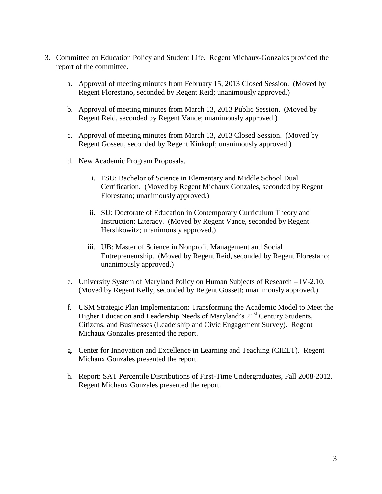- 3. Committee on Education Policy and Student Life. Regent Michaux-Gonzales provided the report of the committee.
	- a. Approval of meeting minutes from February 15, 2013 Closed Session. (Moved by Regent Florestano, seconded by Regent Reid; unanimously approved.)
	- b. Approval of meeting minutes from March 13, 2013 Public Session. (Moved by Regent Reid, seconded by Regent Vance; unanimously approved.)
	- c. Approval of meeting minutes from March 13, 2013 Closed Session. (Moved by Regent Gossett, seconded by Regent Kinkopf; unanimously approved.)
	- d. New Academic Program Proposals.
		- i. FSU: Bachelor of Science in Elementary and Middle School Dual Certification. (Moved by Regent Michaux Gonzales, seconded by Regent Florestano; unanimously approved.)
		- ii. SU: Doctorate of Education in Contemporary Curriculum Theory and Instruction: Literacy. (Moved by Regent Vance, seconded by Regent Hershkowitz; unanimously approved.)
		- iii. UB: Master of Science in Nonprofit Management and Social Entrepreneurship. (Moved by Regent Reid, seconded by Regent Florestano; unanimously approved.)
	- e. University System of Maryland Policy on Human Subjects of Research IV-2.10. (Moved by Regent Kelly, seconded by Regent Gossett; unanimously approved.)
	- f. USM Strategic Plan Implementation: Transforming the Academic Model to Meet the Higher Education and Leadership Needs of Maryland's 21<sup>st</sup> Century Students, Citizens, and Businesses (Leadership and Civic Engagement Survey). Regent Michaux Gonzales presented the report.
	- g. Center for Innovation and Excellence in Learning and Teaching (CIELT). Regent Michaux Gonzales presented the report.
	- h. Report: SAT Percentile Distributions of First-Time Undergraduates, Fall 2008-2012. Regent Michaux Gonzales presented the report.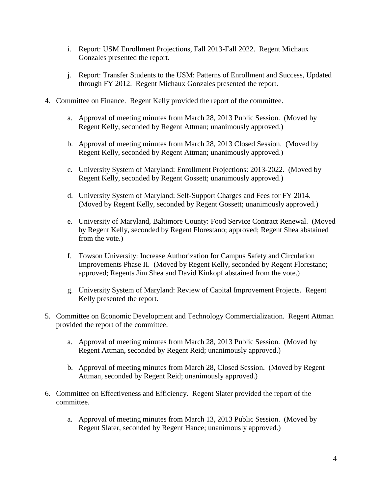- i. Report: USM Enrollment Projections, Fall 2013-Fall 2022. Regent Michaux Gonzales presented the report.
- j. Report: Transfer Students to the USM: Patterns of Enrollment and Success, Updated through FY 2012. Regent Michaux Gonzales presented the report.
- 4. Committee on Finance. Regent Kelly provided the report of the committee.
	- a. Approval of meeting minutes from March 28, 2013 Public Session. (Moved by Regent Kelly, seconded by Regent Attman; unanimously approved.)
	- b. Approval of meeting minutes from March 28, 2013 Closed Session. (Moved by Regent Kelly, seconded by Regent Attman; unanimously approved.)
	- c. University System of Maryland: Enrollment Projections: 2013-2022. (Moved by Regent Kelly, seconded by Regent Gossett; unanimously approved.)
	- d. University System of Maryland: Self-Support Charges and Fees for FY 2014. (Moved by Regent Kelly, seconded by Regent Gossett; unanimously approved.)
	- e. University of Maryland, Baltimore County: Food Service Contract Renewal. (Moved by Regent Kelly, seconded by Regent Florestano; approved; Regent Shea abstained from the vote.)
	- f. Towson University: Increase Authorization for Campus Safety and Circulation Improvements Phase II. (Moved by Regent Kelly, seconded by Regent Florestano; approved; Regents Jim Shea and David Kinkopf abstained from the vote.)
	- g. University System of Maryland: Review of Capital Improvement Projects. Regent Kelly presented the report.
- 5. Committee on Economic Development and Technology Commercialization. Regent Attman provided the report of the committee.
	- a. Approval of meeting minutes from March 28, 2013 Public Session. (Moved by Regent Attman, seconded by Regent Reid; unanimously approved.)
	- b. Approval of meeting minutes from March 28, Closed Session. (Moved by Regent Attman, seconded by Regent Reid; unanimously approved.)
- 6. Committee on Effectiveness and Efficiency. Regent Slater provided the report of the committee.
	- a. Approval of meeting minutes from March 13, 2013 Public Session. (Moved by Regent Slater, seconded by Regent Hance; unanimously approved.)